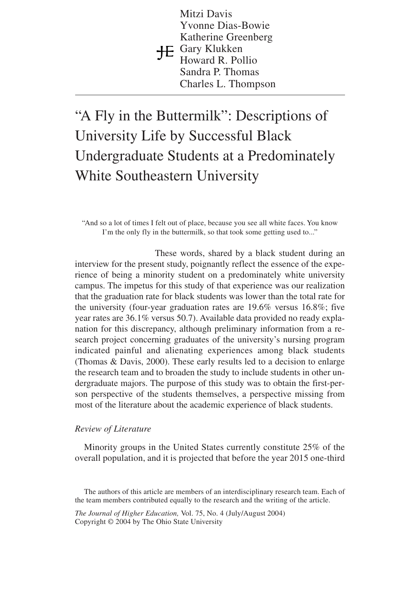Mitzi Davis Yvonne Dias-Bowie Katherine Greenberg **JE** Gary Klukken Howard R. Pollio Sandra P. Thomas Charles L. Thompson

# "A Fly in the Buttermilk": Descriptions of University Life by Successful Black Undergraduate Students at a Predominately White Southeastern University

"And so a lot of times I felt out of place, because you see all white faces. You know I'm the only fly in the buttermilk, so that took some getting used to..."

These words, shared by a black student during an interview for the present study, poignantly reflect the essence of the experience of being a minority student on a predominately white university campus. The impetus for this study of that experience was our realization that the graduation rate for black students was lower than the total rate for the university (four-year graduation rates are 19.6% versus 16.8%; five year rates are 36.1% versus 50.7). Available data provided no ready explanation for this discrepancy, although preliminary information from a research project concerning graduates of the university's nursing program indicated painful and alienating experiences among black students (Thomas & Davis, 2000). These early results led to a decision to enlarge the research team and to broaden the study to include students in other undergraduate majors. The purpose of this study was to obtain the first-person perspective of the students themselves, a perspective missing from most of the literature about the academic experience of black students.

# *Review of Literature*

Minority groups in the United States currently constitute 25% of the overall population, and it is projected that before the year 2015 one-third

The authors of this article are members of an interdisciplinary research team. Each of the team members contributed equally to the research and the writing of the article.

*The Journal of Higher Education,* Vol. 75, No. 4 (July/August 2004) Copyright © 2004 by The Ohio State University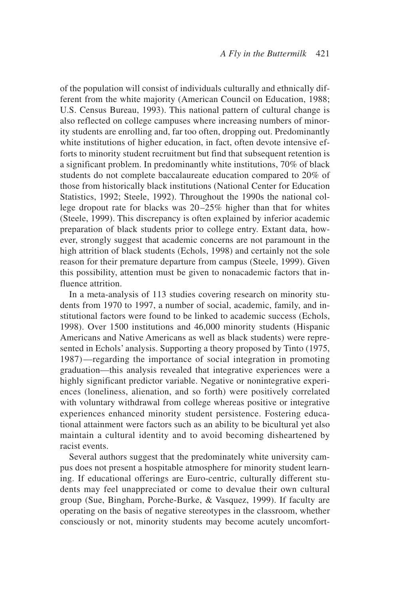of the population will consist of individuals culturally and ethnically different from the white majority (American Council on Education, 1988; U.S. Census Bureau, 1993). This national pattern of cultural change is also reflected on college campuses where increasing numbers of minority students are enrolling and, far too often, dropping out. Predominantly white institutions of higher education, in fact, often devote intensive efforts to minority student recruitment but find that subsequent retention is a significant problem. In predominantly white institutions, 70% of black students do not complete baccalaureate education compared to 20% of those from historically black institutions (National Center for Education Statistics, 1992; Steele, 1992). Throughout the 1990s the national college dropout rate for blacks was 20–25% higher than that for whites (Steele, 1999). This discrepancy is often explained by inferior academic preparation of black students prior to college entry. Extant data, however, strongly suggest that academic concerns are not paramount in the high attrition of black students (Echols, 1998) and certainly not the sole reason for their premature departure from campus (Steele, 1999). Given this possibility, attention must be given to nonacademic factors that influence attrition.

In a meta-analysis of 113 studies covering research on minority students from 1970 to 1997, a number of social, academic, family, and institutional factors were found to be linked to academic success (Echols, 1998). Over 1500 institutions and 46,000 minority students (Hispanic Americans and Native Americans as well as black students) were represented in Echols' analysis. Supporting a theory proposed by Tinto (1975, 1987)—regarding the importance of social integration in promoting graduation—this analysis revealed that integrative experiences were a highly significant predictor variable. Negative or nonintegrative experiences (loneliness, alienation, and so forth) were positively correlated with voluntary withdrawal from college whereas positive or integrative experiences enhanced minority student persistence. Fostering educational attainment were factors such as an ability to be bicultural yet also maintain a cultural identity and to avoid becoming disheartened by racist events.

Several authors suggest that the predominately white university campus does not present a hospitable atmosphere for minority student learning. If educational offerings are Euro-centric, culturally different students may feel unappreciated or come to devalue their own cultural group (Sue, Bingham, Porche-Burke, & Vasquez, 1999). If faculty are operating on the basis of negative stereotypes in the classroom, whether consciously or not, minority students may become acutely uncomfort-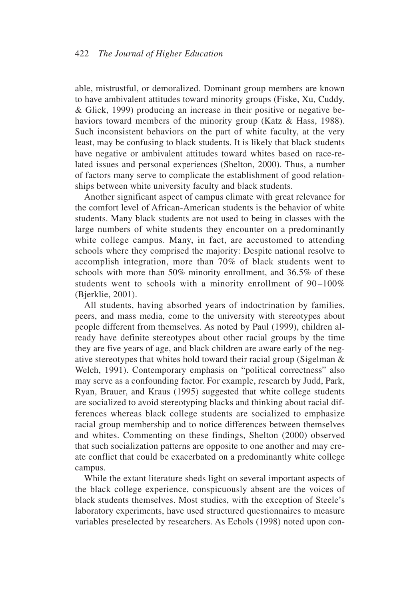able, mistrustful, or demoralized. Dominant group members are known to have ambivalent attitudes toward minority groups (Fiske, Xu, Cuddy, & Glick, 1999) producing an increase in their positive or negative behaviors toward members of the minority group (Katz & Hass, 1988). Such inconsistent behaviors on the part of white faculty, at the very least, may be confusing to black students. It is likely that black students have negative or ambivalent attitudes toward whites based on race-related issues and personal experiences (Shelton, 2000). Thus, a number of factors many serve to complicate the establishment of good relationships between white university faculty and black students.

Another significant aspect of campus climate with great relevance for the comfort level of African-American students is the behavior of white students. Many black students are not used to being in classes with the large numbers of white students they encounter on a predominantly white college campus. Many, in fact, are accustomed to attending schools where they comprised the majority: Despite national resolve to accomplish integration, more than 70% of black students went to schools with more than 50% minority enrollment, and 36.5% of these students went to schools with a minority enrollment of 90–100% (Bjerklie, 2001).

All students, having absorbed years of indoctrination by families, peers, and mass media, come to the university with stereotypes about people different from themselves. As noted by Paul (1999), children already have definite stereotypes about other racial groups by the time they are five years of age, and black children are aware early of the negative stereotypes that whites hold toward their racial group (Sigelman & Welch, 1991). Contemporary emphasis on "political correctness" also may serve as a confounding factor. For example, research by Judd, Park, Ryan, Brauer, and Kraus (1995) suggested that white college students are socialized to avoid stereotyping blacks and thinking about racial differences whereas black college students are socialized to emphasize racial group membership and to notice differences between themselves and whites. Commenting on these findings, Shelton (2000) observed that such socialization patterns are opposite to one another and may create conflict that could be exacerbated on a predominantly white college campus.

While the extant literature sheds light on several important aspects of the black college experience, conspicuously absent are the voices of black students themselves. Most studies, with the exception of Steele's laboratory experiments, have used structured questionnaires to measure variables preselected by researchers. As Echols (1998) noted upon con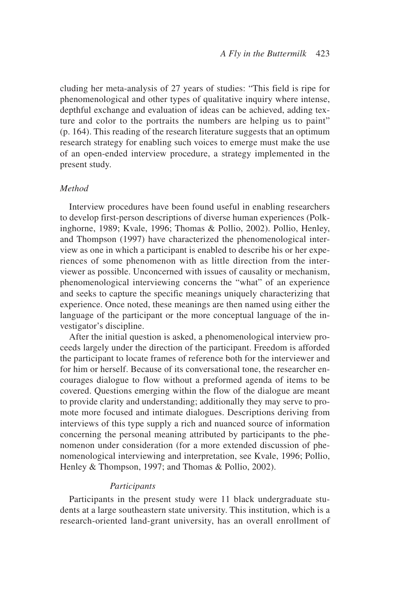cluding her meta-analysis of 27 years of studies: "This field is ripe for phenomenological and other types of qualitative inquiry where intense, depthful exchange and evaluation of ideas can be achieved, adding texture and color to the portraits the numbers are helping us to paint" (p. 164). This reading of the research literature suggests that an optimum research strategy for enabling such voices to emerge must make the use of an open-ended interview procedure, a strategy implemented in the present study.

### *Method*

Interview procedures have been found useful in enabling researchers to develop first-person descriptions of diverse human experiences (Polkinghorne, 1989; Kvale, 1996; Thomas & Pollio, 2002). Pollio, Henley, and Thompson (1997) have characterized the phenomenological interview as one in which a participant is enabled to describe his or her experiences of some phenomenon with as little direction from the interviewer as possible. Unconcerned with issues of causality or mechanism, phenomenological interviewing concerns the "what" of an experience and seeks to capture the specific meanings uniquely characterizing that experience. Once noted, these meanings are then named using either the language of the participant or the more conceptual language of the investigator's discipline.

After the initial question is asked, a phenomenological interview proceeds largely under the direction of the participant. Freedom is afforded the participant to locate frames of reference both for the interviewer and for him or herself. Because of its conversational tone, the researcher encourages dialogue to flow without a preformed agenda of items to be covered. Questions emerging within the flow of the dialogue are meant to provide clarity and understanding; additionally they may serve to promote more focused and intimate dialogues. Descriptions deriving from interviews of this type supply a rich and nuanced source of information concerning the personal meaning attributed by participants to the phenomenon under consideration (for a more extended discussion of phenomenological interviewing and interpretation, see Kvale, 1996; Pollio, Henley & Thompson, 1997; and Thomas & Pollio, 2002).

### *Participants*

Participants in the present study were 11 black undergraduate students at a large southeastern state university. This institution, which is a research-oriented land-grant university, has an overall enrollment of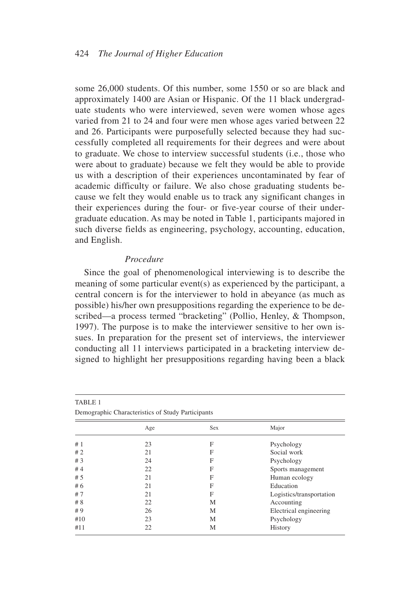some 26,000 students. Of this number, some 1550 or so are black and approximately 1400 are Asian or Hispanic. Of the 11 black undergraduate students who were interviewed, seven were women whose ages varied from 21 to 24 and four were men whose ages varied between 22 and 26. Participants were purposefully selected because they had successfully completed all requirements for their degrees and were about to graduate. We chose to interview successful students (i.e., those who were about to graduate) because we felt they would be able to provide us with a description of their experiences uncontaminated by fear of academic difficulty or failure. We also chose graduating students because we felt they would enable us to track any significant changes in their experiences during the four- or five-year course of their undergraduate education. As may be noted in Table 1, participants majored in such diverse fields as engineering, psychology, accounting, education, and English.

# *Procedure*

Since the goal of phenomenological interviewing is to describe the meaning of some particular event(s) as experienced by the participant, a central concern is for the interviewer to hold in abeyance (as much as possible) his/her own presuppositions regarding the experience to be described—a process termed "bracketing" (Pollio, Henley, & Thompson, 1997). The purpose is to make the interviewer sensitive to her own issues. In preparation for the present set of interviews, the interviewer conducting all 11 interviews participated in a bracketing interview designed to highlight her presuppositions regarding having been a black

| Demographic Characteristics of Study Participants |     |            |                          |
|---------------------------------------------------|-----|------------|--------------------------|
|                                                   | Age | <b>Sex</b> | Major                    |
| #1                                                | 23  | F          | Psychology               |
| #2                                                | 21  | F          | Social work              |
| #3                                                | 24  | F          | Psychology               |
| #4                                                | 22  | F          | Sports management        |
| #5                                                | 21  | F          | Human ecology            |
| #6                                                | 21  | F          | Education                |
| #7                                                | 21  | F          | Logistics/transportation |
| #8                                                | 22  | M          | Accounting               |
| #9                                                | 26  | M          | Electrical engineering   |
| #10                                               | 23  | М          | Psychology               |
| #11                                               | 22  | М          | History                  |

TABLE 1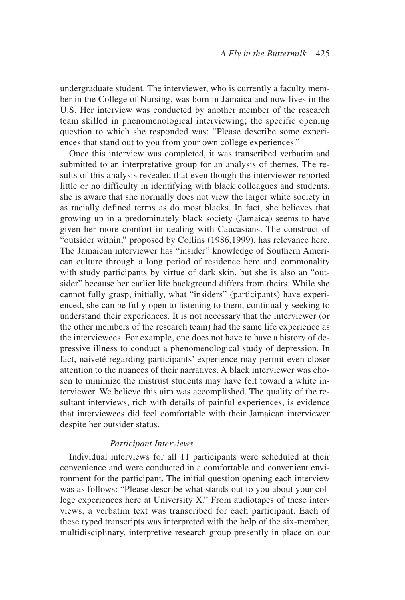undergraduate student. The interviewer, who is currently a faculty member in the College of Nursing, was born in Jamaica and now lives in the U.S. Her interview was conducted by another member of the research team skilled in phenomenological interviewing; the specific opening question to which she responded was: "Please describe some experiences that stand out to you from your own college experiences."

Once this interview was completed, it was transcribed verbatim and submitted to an interpretative group for an analysis of themes. The results of this analysis revealed that even though the interviewer reported little or no difficulty in identifying with black colleagues and students, she is aware that she normally does not view the larger white society in as racially defined terms as do most blacks. In fact, she believes that growing up in a predominately black society (Jamaica) seems to have given her more comfort in dealing with Caucasians. The construct of "outsider within," proposed by Collins (1986,1999), has relevance here. The Jamaican interviewer has "insider" knowledge of Southern American culture through a long period of residence here and commonality with study participants by virtue of dark skin, but she is also an "outsider" because her earlier life background differs from theirs. While she cannot fully grasp, initially, what "insiders" (participants) have experienced, she can be fully open to listening to them, continually seeking to understand their experiences. It is not necessary that the interviewer (or the other members of the research team) had the same life experience as the interviewees. For example, one does not have to have a history of depressive illness to conduct a phenomenological study of depression. In fact, naiveté regarding participants' experience may permit even closer attention to the nuances of their narratives. A black interviewer was chosen to minimize the mistrust students may have felt toward a white interviewer. We believe this aim was accomplished. The quality of the resultant interviews, rich with details of painful experiences, is evidence that interviewees did feel comfortable with their Jamaican interviewer despite her outsider status.

### *Participant Interviews*

Individual interviews for all 11 participants were scheduled at their convenience and were conducted in a comfortable and convenient environment for the participant. The initial question opening each interview was as follows: "Please describe what stands out to you about your college experiences here at University X." From audiotapes of these interviews, a verbatim text was transcribed for each participant. Each of these typed transcripts was interpreted with the help of the six-member, multidisciplinary, interpretive research group presently in place on our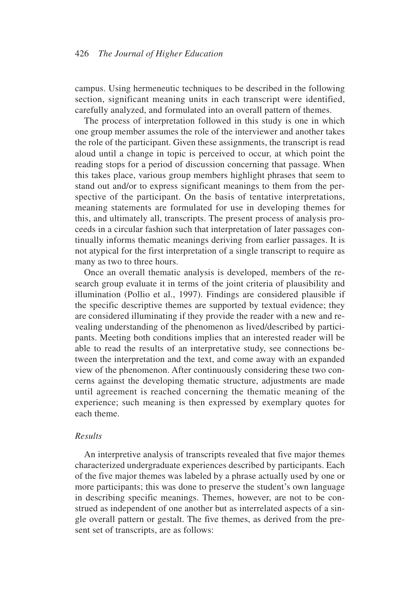campus. Using hermeneutic techniques to be described in the following section, significant meaning units in each transcript were identified, carefully analyzed, and formulated into an overall pattern of themes.

The process of interpretation followed in this study is one in which one group member assumes the role of the interviewer and another takes the role of the participant. Given these assignments, the transcript is read aloud until a change in topic is perceived to occur, at which point the reading stops for a period of discussion concerning that passage. When this takes place, various group members highlight phrases that seem to stand out and/or to express significant meanings to them from the perspective of the participant. On the basis of tentative interpretations, meaning statements are formulated for use in developing themes for this, and ultimately all, transcripts. The present process of analysis proceeds in a circular fashion such that interpretation of later passages continually informs thematic meanings deriving from earlier passages. It is not atypical for the first interpretation of a single transcript to require as many as two to three hours.

Once an overall thematic analysis is developed, members of the research group evaluate it in terms of the joint criteria of plausibility and illumination (Pollio et al., 1997). Findings are considered plausible if the specific descriptive themes are supported by textual evidence; they are considered illuminating if they provide the reader with a new and revealing understanding of the phenomenon as lived/described by participants. Meeting both conditions implies that an interested reader will be able to read the results of an interpretative study, see connections between the interpretation and the text, and come away with an expanded view of the phenomenon. After continuously considering these two concerns against the developing thematic structure, adjustments are made until agreement is reached concerning the thematic meaning of the experience; such meaning is then expressed by exemplary quotes for each theme.

## *Results*

An interpretive analysis of transcripts revealed that five major themes characterized undergraduate experiences described by participants. Each of the five major themes was labeled by a phrase actually used by one or more participants; this was done to preserve the student's own language in describing specific meanings. Themes, however, are not to be construed as independent of one another but as interrelated aspects of a single overall pattern or gestalt. The five themes, as derived from the present set of transcripts, are as follows: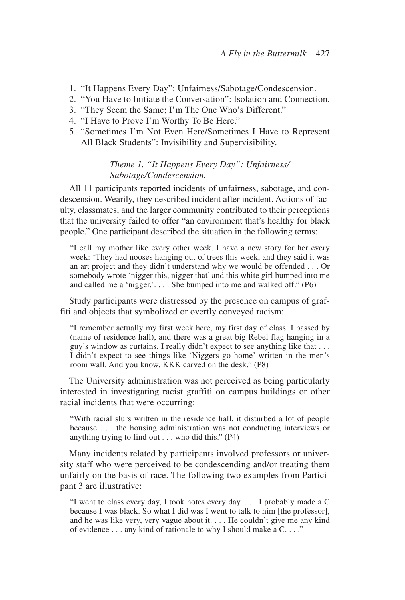- 1. "It Happens Every Day": Unfairness/Sabotage/Condescension.
- 2. "You Have to Initiate the Conversation": Isolation and Connection.
- 3. "They Seem the Same; I'm The One Who's Different."
- 4. "I Have to Prove I'm Worthy To Be Here."
- 5. "Sometimes I'm Not Even Here/Sometimes I Have to Represent All Black Students": Invisibility and Supervisibility.

# *Theme 1. "It Happens Every Day": Unfairness/ Sabotage/Condescension.*

All 11 participants reported incidents of unfairness, sabotage, and condescension. Wearily, they described incident after incident. Actions of faculty, classmates, and the larger community contributed to their perceptions that the university failed to offer "an environment that's healthy for black people." One participant described the situation in the following terms:

"I call my mother like every other week. I have a new story for her every week: 'They had nooses hanging out of trees this week, and they said it was an art project and they didn't understand why we would be offended . . . Or somebody wrote 'nigger this, nigger that' and this white girl bumped into me and called me a 'nigger.'. . . . She bumped into me and walked off." (P6)

Study participants were distressed by the presence on campus of graffiti and objects that symbolized or overtly conveyed racism:

"I remember actually my first week here, my first day of class. I passed by (name of residence hall), and there was a great big Rebel flag hanging in a guy's window as curtains. I really didn't expect to see anything like that . . . I didn't expect to see things like 'Niggers go home' written in the men's room wall. And you know, KKK carved on the desk." (P8)

The University administration was not perceived as being particularly interested in investigating racist graffiti on campus buildings or other racial incidents that were occurring:

"With racial slurs written in the residence hall, it disturbed a lot of people because . . . the housing administration was not conducting interviews or anything trying to find out  $\dots$  who did this." (P4)

Many incidents related by participants involved professors or university staff who were perceived to be condescending and/or treating them unfairly on the basis of race. The following two examples from Participant 3 are illustrative:

"I went to class every day, I took notes every day. . . . I probably made a C because I was black. So what I did was I went to talk to him [the professor], and he was like very, very vague about it. . . . He couldn't give me any kind of evidence . . . any kind of rationale to why I should make a C. . . ."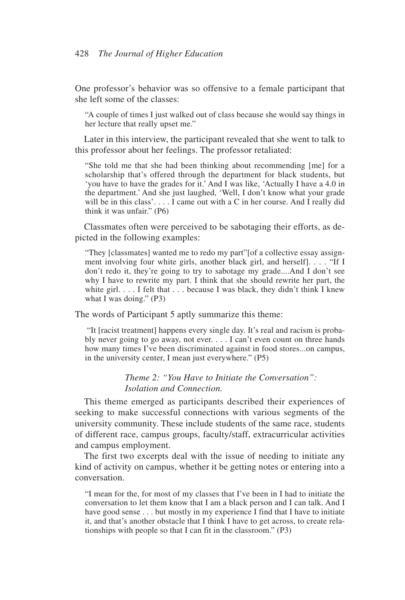One professor's behavior was so offensive to a female participant that she left some of the classes:

"A couple of times I just walked out of class because she would say things in her lecture that really upset me."

Later in this interview, the participant revealed that she went to talk to this professor about her feelings. The professor retaliated:

"She told me that she had been thinking about recommending [me] for a scholarship that's offered through the department for black students, but 'you have to have the grades for it.' And I was like, 'Actually I have a 4.0 in the department.' And she just laughed, 'Well, I don't know what your grade will be in this class'.... I came out with a C in her course. And I really did think it was unfair." (P6)

Classmates often were perceived to be sabotaging their efforts, as depicted in the following examples:

"They [classmates] wanted me to redo my part"[of a collective essay assignment involving four white girls, another black girl, and herself]. . . . "If I don't redo it, they're going to try to sabotage my grade....And I don't see why I have to rewrite my part. I think that she should rewrite her part, the white girl. . . . I felt that . . . because I was black, they didn't think I knew what I was doing." (P3)

The words of Participant 5 aptly summarize this theme:

"It [racist treatment] happens every single day. It's real and racism is probably never going to go away, not ever. . . . I can't even count on three hands how many times I've been discriminated against in food stores...on campus, in the university center, I mean just everywhere." (P5)

> *Theme 2: "You Have to Initiate the Conversation": Isolation and Connection.*

This theme emerged as participants described their experiences of seeking to make successful connections with various segments of the university community. These include students of the same race, students of different race, campus groups, faculty/staff, extracurricular activities and campus employment.

The first two excerpts deal with the issue of needing to initiate any kind of activity on campus, whether it be getting notes or entering into a conversation.

"I mean for the, for most of my classes that I've been in I had to initiate the conversation to let them know that I am a black person and I can talk. And I have good sense . . . but mostly in my experience I find that I have to initiate it, and that's another obstacle that I think I have to get across, to create relationships with people so that I can fit in the classroom." (P3)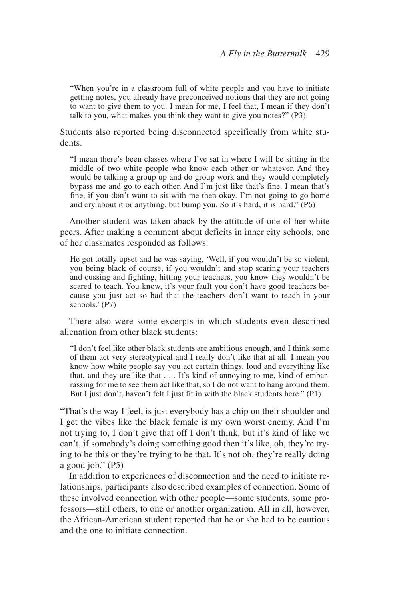"When you're in a classroom full of white people and you have to initiate getting notes, you already have preconceived notions that they are not going to want to give them to you. I mean for me, I feel that, I mean if they don't talk to you, what makes you think they want to give you notes?" (P3)

Students also reported being disconnected specifically from white students.

"I mean there's been classes where I've sat in where I will be sitting in the middle of two white people who know each other or whatever. And they would be talking a group up and do group work and they would completely bypass me and go to each other. And I'm just like that's fine. I mean that's fine, if you don't want to sit with me then okay. I'm not going to go home and cry about it or anything, but bump you. So it's hard, it is hard." (P6)

Another student was taken aback by the attitude of one of her white peers. After making a comment about deficits in inner city schools, one of her classmates responded as follows:

He got totally upset and he was saying, 'Well, if you wouldn't be so violent, you being black of course, if you wouldn't and stop scaring your teachers and cussing and fighting, hitting your teachers, you know they wouldn't be scared to teach. You know, it's your fault you don't have good teachers because you just act so bad that the teachers don't want to teach in your schools.' (P7)

There also were some excerpts in which students even described alienation from other black students:

"I don't feel like other black students are ambitious enough, and I think some of them act very stereotypical and I really don't like that at all. I mean you know how white people say you act certain things, loud and everything like that, and they are like that . . . It's kind of annoying to me, kind of embarrassing for me to see them act like that, so I do not want to hang around them. But I just don't, haven't felt I just fit in with the black students here." (P1)

"That's the way I feel, is just everybody has a chip on their shoulder and I get the vibes like the black female is my own worst enemy. And I'm not trying to, I don't give that off I don't think, but it's kind of like we can't, if somebody's doing something good then it's like, oh, they're trying to be this or they're trying to be that. It's not oh, they're really doing a good job." (P5)

In addition to experiences of disconnection and the need to initiate relationships, participants also described examples of connection. Some of these involved connection with other people—some students, some professors—still others, to one or another organization. All in all, however, the African-American student reported that he or she had to be cautious and the one to initiate connection.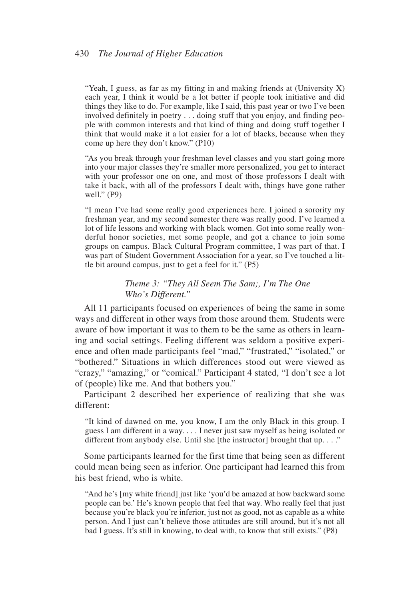"Yeah, I guess, as far as my fitting in and making friends at (University X) each year, I think it would be a lot better if people took initiative and did things they like to do. For example, like I said, this past year or two I've been involved definitely in poetry . . . doing stuff that you enjoy, and finding people with common interests and that kind of thing and doing stuff together I think that would make it a lot easier for a lot of blacks, because when they come up here they don't know." (P10)

"As you break through your freshman level classes and you start going more into your major classes they're smaller more personalized, you get to interact with your professor one on one, and most of those professors I dealt with take it back, with all of the professors I dealt with, things have gone rather well." (P9)

"I mean I've had some really good experiences here. I joined a sorority my freshman year, and my second semester there was really good. I've learned a lot of life lessons and working with black women. Got into some really wonderful honor societies, met some people, and got a chance to join some groups on campus. Black Cultural Program committee, I was part of that. I was part of Student Government Association for a year, so I've touched a little bit around campus, just to get a feel for it." (P5)

## *Theme 3: "They All Seem The Sam;, I'm The One Who's Different."*

All 11 participants focused on experiences of being the same in some ways and different in other ways from those around them. Students were aware of how important it was to them to be the same as others in learning and social settings. Feeling different was seldom a positive experience and often made participants feel "mad," "frustrated," "isolated," or "bothered." Situations in which differences stood out were viewed as "crazy," "amazing," or "comical." Participant 4 stated, "I don't see a lot of (people) like me. And that bothers you."

Participant 2 described her experience of realizing that she was different:

"It kind of dawned on me, you know, I am the only Black in this group. I guess I am different in a way. . . . I never just saw myself as being isolated or different from anybody else. Until she [the instructor] brought that up. . . ."

Some participants learned for the first time that being seen as different could mean being seen as inferior. One participant had learned this from his best friend, who is white.

"And he's [my white friend] just like 'you'd be amazed at how backward some people can be.' He's known people that feel that way. Who really feel that just because you're black you're inferior, just not as good, not as capable as a white person. And I just can't believe those attitudes are still around, but it's not all bad I guess. It's still in knowing, to deal with, to know that still exists." (P8)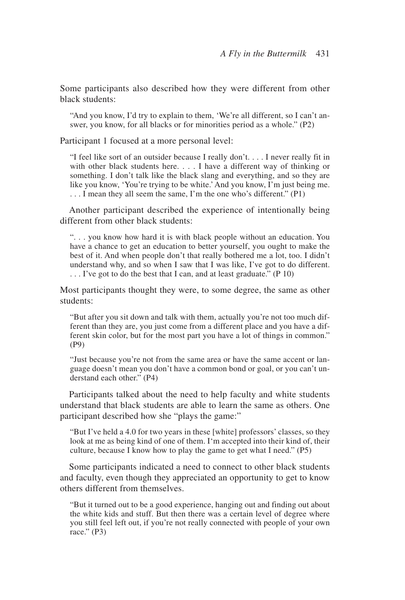Some participants also described how they were different from other black students:

"And you know, I'd try to explain to them, 'We're all different, so I can't answer, you know, for all blacks or for minorities period as a whole." (P2)

Participant 1 focused at a more personal level:

"I feel like sort of an outsider because I really don't. . . . I never really fit in with other black students here. . . . I have a different way of thinking or something. I don't talk like the black slang and everything, and so they are like you know, 'You're trying to be white.'And you know, I'm just being me. . . . I mean they all seem the same, I'm the one who's different." (P1)

Another participant described the experience of intentionally being different from other black students:

". . . you know how hard it is with black people without an education. You have a chance to get an education to better yourself, you ought to make the best of it. And when people don't that really bothered me a lot, too. I didn't understand why, and so when I saw that I was like, I've got to do different. . . . I've got to do the best that I can, and at least graduate." (P 10)

Most participants thought they were, to some degree, the same as other students:

"But after you sit down and talk with them, actually you're not too much different than they are, you just come from a different place and you have a different skin color, but for the most part you have a lot of things in common." (P9)

"Just because you're not from the same area or have the same accent or language doesn't mean you don't have a common bond or goal, or you can't understand each other." (P4)

Participants talked about the need to help faculty and white students understand that black students are able to learn the same as others. One participant described how she "plays the game:"

"But I've held a 4.0 for two years in these [white] professors' classes, so they look at me as being kind of one of them. I'm accepted into their kind of, their culture, because I know how to play the game to get what I need." (P5)

Some participants indicated a need to connect to other black students and faculty, even though they appreciated an opportunity to get to know others different from themselves.

"But it turned out to be a good experience, hanging out and finding out about the white kids and stuff. But then there was a certain level of degree where you still feel left out, if you're not really connected with people of your own race."  $(P3)$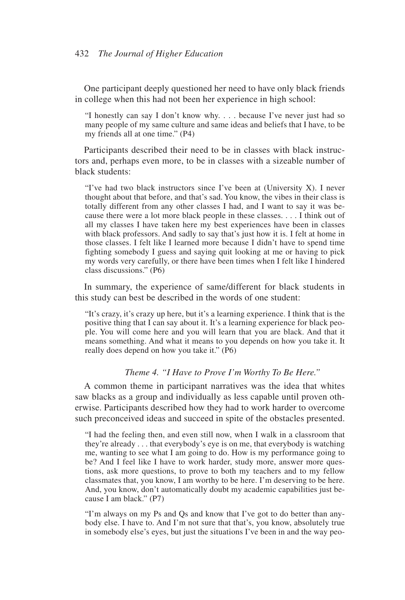One participant deeply questioned her need to have only black friends in college when this had not been her experience in high school:

"I honestly can say I don't know why. . . . because I've never just had so many people of my same culture and same ideas and beliefs that I have, to be my friends all at one time." (P4)

Participants described their need to be in classes with black instructors and, perhaps even more, to be in classes with a sizeable number of black students:

"I've had two black instructors since I've been at (University  $X$ ). I never thought about that before, and that's sad. You know, the vibes in their class is totally different from any other classes I had, and I want to say it was because there were a lot more black people in these classes. . . . I think out of all my classes I have taken here my best experiences have been in classes with black professors. And sadly to say that's just how it is. I felt at home in those classes. I felt like I learned more because I didn't have to spend time fighting somebody I guess and saying quit looking at me or having to pick my words very carefully, or there have been times when I felt like I hindered class discussions." (P6)

In summary, the experience of same/different for black students in this study can best be described in the words of one student:

"It's crazy, it's crazy up here, but it's a learning experience. I think that is the positive thing that I can say about it. It's a learning experience for black people. You will come here and you will learn that you are black. And that it means something. And what it means to you depends on how you take it. It really does depend on how you take it." (P6)

## *Theme 4. "I Have to Prove I'm Worthy To Be Here."*

A common theme in participant narratives was the idea that whites saw blacks as a group and individually as less capable until proven otherwise. Participants described how they had to work harder to overcome such preconceived ideas and succeed in spite of the obstacles presented.

"I had the feeling then, and even still now, when I walk in a classroom that they're already . . . that everybody's eye is on me, that everybody is watching me, wanting to see what I am going to do. How is my performance going to be? And I feel like I have to work harder, study more, answer more questions, ask more questions, to prove to both my teachers and to my fellow classmates that, you know, I am worthy to be here. I'm deserving to be here. And, you know, don't automatically doubt my academic capabilities just because I am black." (P7)

"I'm always on my Ps and Qs and know that I've got to do better than anybody else. I have to. And I'm not sure that that's, you know, absolutely true in somebody else's eyes, but just the situations I've been in and the way peo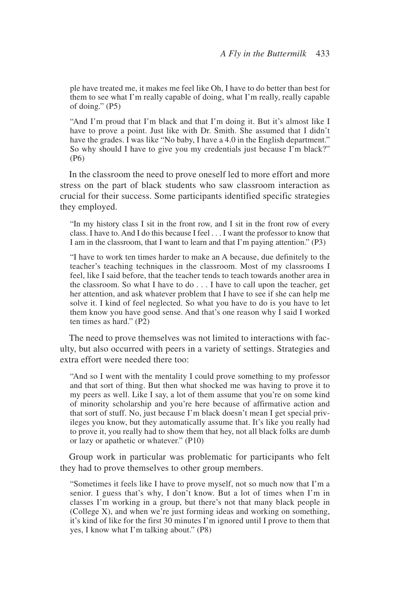ple have treated me, it makes me feel like Oh, I have to do better than best for them to see what I'm really capable of doing, what I'm really, really capable of doing." (P5)

"And I'm proud that I'm black and that I'm doing it. But it's almost like I have to prove a point. Just like with Dr. Smith. She assumed that I didn't have the grades. I was like "No baby, I have a 4.0 in the English department." So why should I have to give you my credentials just because I'm black?" (P6)

In the classroom the need to prove oneself led to more effort and more stress on the part of black students who saw classroom interaction as crucial for their success. Some participants identified specific strategies they employed.

"In my history class I sit in the front row, and I sit in the front row of every class. I have to. And I do this because I feel . . . I want the professor to know that I am in the classroom, that I want to learn and that I'm paying attention." (P3)

"I have to work ten times harder to make an A because, due definitely to the teacher's teaching techniques in the classroom. Most of my classrooms I feel, like I said before, that the teacher tends to teach towards another area in the classroom. So what I have to do . . . I have to call upon the teacher, get her attention, and ask whatever problem that I have to see if she can help me solve it. I kind of feel neglected. So what you have to do is you have to let them know you have good sense. And that's one reason why I said I worked ten times as hard." (P2)

The need to prove themselves was not limited to interactions with faculty, but also occurred with peers in a variety of settings. Strategies and extra effort were needed there too:

"And so I went with the mentality I could prove something to my professor and that sort of thing. But then what shocked me was having to prove it to my peers as well. Like I say, a lot of them assume that you're on some kind of minority scholarship and you're here because of affirmative action and that sort of stuff. No, just because I'm black doesn't mean I get special privileges you know, but they automatically assume that. It's like you really had to prove it, you really had to show them that hey, not all black folks are dumb or lazy or apathetic or whatever." (P10)

Group work in particular was problematic for participants who felt they had to prove themselves to other group members.

"Sometimes it feels like I have to prove myself, not so much now that I'm a senior. I guess that's why, I don't know. But a lot of times when I'm in classes I'm working in a group, but there's not that many black people in (College X), and when we're just forming ideas and working on something, it's kind of like for the first 30 minutes I'm ignored until I prove to them that yes, I know what I'm talking about." (P8)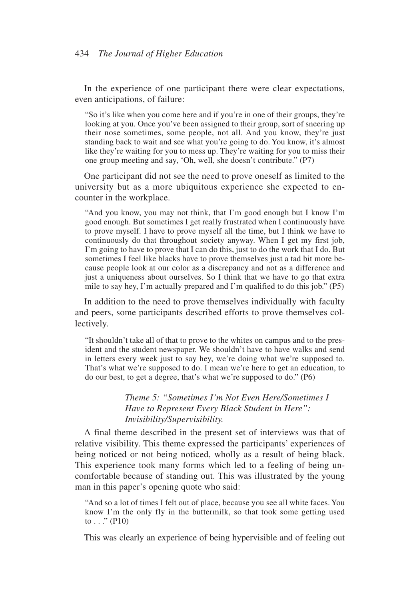In the experience of one participant there were clear expectations, even anticipations, of failure:

"So it's like when you come here and if you're in one of their groups, they're looking at you. Once you've been assigned to their group, sort of sneering up their nose sometimes, some people, not all. And you know, they're just standing back to wait and see what you're going to do. You know, it's almost like they're waiting for you to mess up. They're waiting for you to miss their one group meeting and say, 'Oh, well, she doesn't contribute." (P7)

One participant did not see the need to prove oneself as limited to the university but as a more ubiquitous experience she expected to encounter in the workplace.

"And you know, you may not think, that I'm good enough but I know I'm good enough. But sometimes I get really frustrated when I continuously have to prove myself. I have to prove myself all the time, but I think we have to continuously do that throughout society anyway. When I get my first job, I'm going to have to prove that I can do this, just to do the work that I do. But sometimes I feel like blacks have to prove themselves just a tad bit more because people look at our color as a discrepancy and not as a difference and just a uniqueness about ourselves. So I think that we have to go that extra mile to say hey, I'm actually prepared and I'm qualified to do this job." (P5)

In addition to the need to prove themselves individually with faculty and peers, some participants described efforts to prove themselves collectively.

"It shouldn't take all of that to prove to the whites on campus and to the president and the student newspaper. We shouldn't have to have walks and send in letters every week just to say hey, we're doing what we're supposed to. That's what we're supposed to do. I mean we're here to get an education, to do our best, to get a degree, that's what we're supposed to do." (P6)

> *Theme 5: "Sometimes I'm Not Even Here/Sometimes I Have to Represent Every Black Student in Here": Invisibility/Supervisibility.*

A final theme described in the present set of interviews was that of relative visibility. This theme expressed the participants' experiences of being noticed or not being noticed, wholly as a result of being black. This experience took many forms which led to a feeling of being uncomfortable because of standing out. This was illustrated by the young man in this paper's opening quote who said:

"And so a lot of times I felt out of place, because you see all white faces. You know I'm the only fly in the buttermilk, so that took some getting used to  $\ldots$ ." (P10)

This was clearly an experience of being hypervisible and of feeling out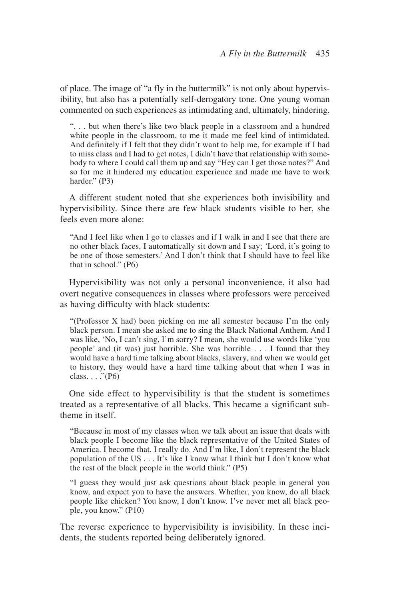of place. The image of "a fly in the buttermilk" is not only about hypervisibility, but also has a potentially self-derogatory tone. One young woman commented on such experiences as intimidating and, ultimately, hindering.

". . . but when there's like two black people in a classroom and a hundred white people in the classroom, to me it made me feel kind of intimidated. And definitely if I felt that they didn't want to help me, for example if I had to miss class and I had to get notes, I didn't have that relationship with somebody to where I could call them up and say "Hey can I get those notes?" And so for me it hindered my education experience and made me have to work harder." (P3)

A different student noted that she experiences both invisibility and hypervisibility. Since there are few black students visible to her, she feels even more alone:

"And I feel like when I go to classes and if I walk in and I see that there are no other black faces, I automatically sit down and I say; 'Lord, it's going to be one of those semesters.' And I don't think that I should have to feel like that in school." (P6)

Hypervisibility was not only a personal inconvenience, it also had overt negative consequences in classes where professors were perceived as having difficulty with black students:

"(Professor X had) been picking on me all semester because I'm the only black person. I mean she asked me to sing the Black National Anthem. And I was like, 'No, I can't sing, I'm sorry? I mean, she would use words like 'you people' and (it was) just horrible. She was horrible . . . I found that they would have a hard time talking about blacks, slavery, and when we would get to history, they would have a hard time talking about that when I was in class.  $\ldots$  ."(P6)

One side effect to hypervisibility is that the student is sometimes treated as a representative of all blacks. This became a significant subtheme in itself.

"Because in most of my classes when we talk about an issue that deals with black people I become like the black representative of the United States of America. I become that. I really do. And I'm like, I don't represent the black population of the US . . . It's like I know what I think but I don't know what the rest of the black people in the world think." (P5)

"I guess they would just ask questions about black people in general you know, and expect you to have the answers. Whether, you know, do all black people like chicken? You know, I don't know. I've never met all black people, you know." (P10)

The reverse experience to hypervisibility is invisibility. In these incidents, the students reported being deliberately ignored.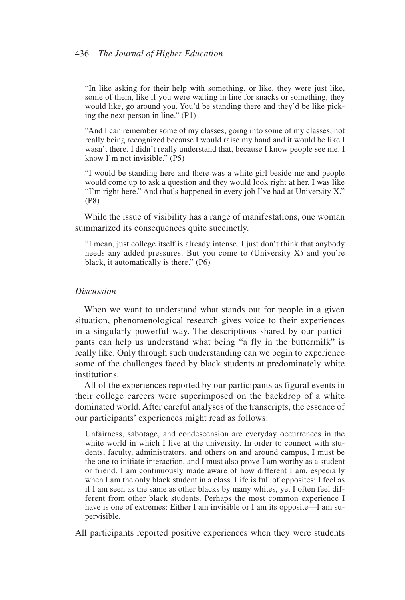"In like asking for their help with something, or like, they were just like, some of them, like if you were waiting in line for snacks or something, they would like, go around you. You'd be standing there and they'd be like picking the next person in line." (P1)

"And I can remember some of my classes, going into some of my classes, not really being recognized because I would raise my hand and it would be like I wasn't there. I didn't really understand that, because I know people see me. I know I'm not invisible." (P5)

"I would be standing here and there was a white girl beside me and people would come up to ask a question and they would look right at her. I was like "I'm right here." And that's happened in every job I've had at University X." (P8)

While the issue of visibility has a range of manifestations, one woman summarized its consequences quite succinctly.

"I mean, just college itself is already intense. I just don't think that anybody needs any added pressures. But you come to (University X) and you're black, it automatically is there." (P6)

## *Discussion*

When we want to understand what stands out for people in a given situation, phenomenological research gives voice to their experiences in a singularly powerful way. The descriptions shared by our participants can help us understand what being "a fly in the buttermilk" is really like. Only through such understanding can we begin to experience some of the challenges faced by black students at predominately white institutions.

All of the experiences reported by our participants as figural events in their college careers were superimposed on the backdrop of a white dominated world. After careful analyses of the transcripts, the essence of our participants' experiences might read as follows:

Unfairness, sabotage, and condescension are everyday occurrences in the white world in which I live at the university. In order to connect with students, faculty, administrators, and others on and around campus, I must be the one to initiate interaction, and I must also prove I am worthy as a student or friend. I am continuously made aware of how different I am, especially when I am the only black student in a class. Life is full of opposites: I feel as if I am seen as the same as other blacks by many whites, yet I often feel different from other black students. Perhaps the most common experience I have is one of extremes: Either I am invisible or I am its opposite—I am supervisible.

All participants reported positive experiences when they were students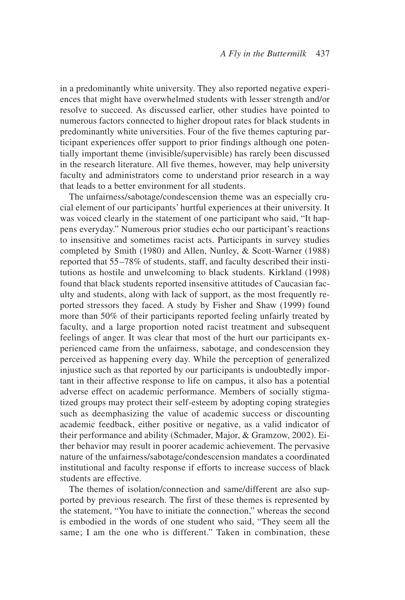in a predominantly white university. They also reported negative experiences that might have overwhelmed students with lesser strength and/or resolve to succeed. As discussed earlier, other studies have pointed to numerous factors connected to higher dropout rates for black students in predominantly white universities. Four of the five themes capturing participant experiences offer support to prior findings although one potentially important theme (invisible/supervisible) has rarely been discussed in the research literature. All five themes, however, may help university faculty and administrators come to understand prior research in a way that leads to a better environment for all students.

The unfairness/sabotage/condescension theme was an especially crucial element of our participants' hurtful experiences at their university. It was voiced clearly in the statement of one participant who said, "It happens everyday." Numerous prior studies echo our participant's reactions to insensitive and sometimes racist acts. Participants in survey studies completed by Smith (1980) and Allen, Nunley, & Scott-Warner (1988) reported that 55–78% of students, staff, and faculty described their institutions as hostile and unwelcoming to black students. Kirkland (1998) found that black students reported insensitive attitudes of Caucasian faculty and students, along with lack of support, as the most frequently reported stressors they faced. A study by Fisher and Shaw (1999) found more than 50% of their participants reported feeling unfairly treated by faculty, and a large proportion noted racist treatment and subsequent feelings of anger. It was clear that most of the hurt our participants experienced came from the unfairness, sabotage, and condescension they perceived as happening every day. While the perception of generalized injustice such as that reported by our participants is undoubtedly important in their affective response to life on campus, it also has a potential adverse effect on academic performance. Members of socially stigmatized groups may protect their self-esteem by adopting coping strategies such as deemphasizing the value of academic success or discounting academic feedback, either positive or negative, as a valid indicator of their performance and ability (Schmader, Major, & Gramzow, 2002). Either behavior may result in poorer academic achievement. The pervasive nature of the unfairness/sabotage/condescension mandates a coordinated institutional and faculty response if efforts to increase success of black students are effective.

The themes of isolation/connection and same/different are also supported by previous research. The first of these themes is represented by the statement, "You have to initiate the connection," whereas the second is embodied in the words of one student who said, "They seem all the same; I am the one who is different." Taken in combination, these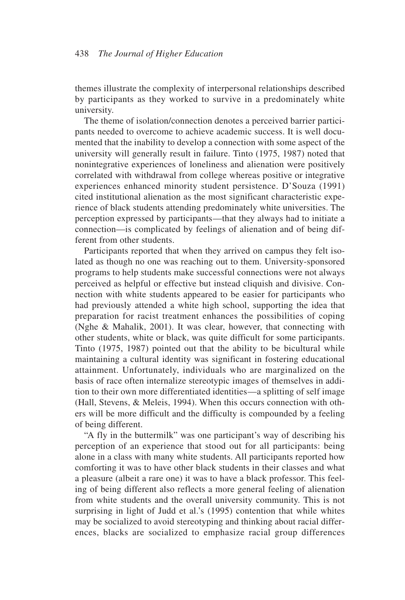themes illustrate the complexity of interpersonal relationships described by participants as they worked to survive in a predominately white university.

The theme of isolation/connection denotes a perceived barrier participants needed to overcome to achieve academic success. It is well documented that the inability to develop a connection with some aspect of the university will generally result in failure. Tinto (1975, 1987) noted that nonintegrative experiences of loneliness and alienation were positively correlated with withdrawal from college whereas positive or integrative experiences enhanced minority student persistence. D'Souza (1991) cited institutional alienation as the most significant characteristic experience of black students attending predominately white universities. The perception expressed by participants—that they always had to initiate a connection—is complicated by feelings of alienation and of being different from other students.

Participants reported that when they arrived on campus they felt isolated as though no one was reaching out to them. University-sponsored programs to help students make successful connections were not always perceived as helpful or effective but instead cliquish and divisive. Connection with white students appeared to be easier for participants who had previously attended a white high school, supporting the idea that preparation for racist treatment enhances the possibilities of coping (Nghe & Mahalik, 2001). It was clear, however, that connecting with other students, white or black, was quite difficult for some participants. Tinto (1975, 1987) pointed out that the ability to be bicultural while maintaining a cultural identity was significant in fostering educational attainment. Unfortunately, individuals who are marginalized on the basis of race often internalize stereotypic images of themselves in addition to their own more differentiated identities—a splitting of self image (Hall, Stevens, & Meleis, 1994). When this occurs connection with others will be more difficult and the difficulty is compounded by a feeling of being different.

"A fly in the buttermilk" was one participant's way of describing his perception of an experience that stood out for all participants: being alone in a class with many white students. All participants reported how comforting it was to have other black students in their classes and what a pleasure (albeit a rare one) it was to have a black professor. This feeling of being different also reflects a more general feeling of alienation from white students and the overall university community. This is not surprising in light of Judd et al.'s (1995) contention that while whites may be socialized to avoid stereotyping and thinking about racial differences, blacks are socialized to emphasize racial group differences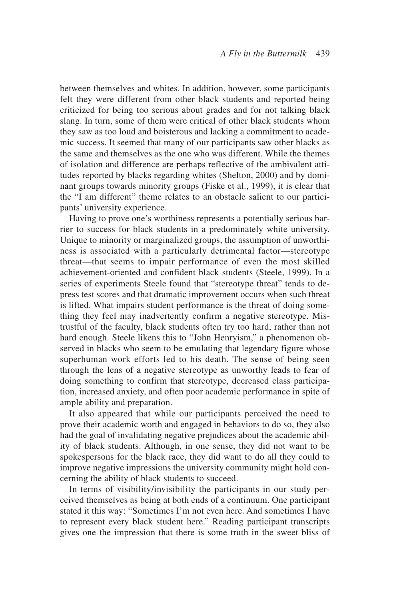between themselves and whites. In addition, however, some participants felt they were different from other black students and reported being criticized for being too serious about grades and for not talking black slang. In turn, some of them were critical of other black students whom they saw as too loud and boisterous and lacking a commitment to academic success. It seemed that many of our participants saw other blacks as the same and themselves as the one who was different. While the themes of isolation and difference are perhaps reflective of the ambivalent attitudes reported by blacks regarding whites (Shelton, 2000) and by dominant groups towards minority groups (Fiske et al., 1999), it is clear that the "I am different" theme relates to an obstacle salient to our participants' university experience.

Having to prove one's worthiness represents a potentially serious barrier to success for black students in a predominately white university. Unique to minority or marginalized groups, the assumption of unworthiness is associated with a particularly detrimental factor—stereotype threat—that seems to impair performance of even the most skilled achievement-oriented and confident black students (Steele, 1999). In a series of experiments Steele found that "stereotype threat" tends to depress test scores and that dramatic improvement occurs when such threat is lifted. What impairs student performance is the threat of doing something they feel may inadvertently confirm a negative stereotype. Mistrustful of the faculty, black students often try too hard, rather than not hard enough. Steele likens this to "John Henryism," a phenomenon observed in blacks who seem to be emulating that legendary figure whose superhuman work efforts led to his death. The sense of being seen through the lens of a negative stereotype as unworthy leads to fear of doing something to confirm that stereotype, decreased class participation, increased anxiety, and often poor academic performance in spite of ample ability and preparation.

It also appeared that while our participants perceived the need to prove their academic worth and engaged in behaviors to do so, they also had the goal of invalidating negative prejudices about the academic ability of black students. Although, in one sense, they did not want to be spokespersons for the black race, they did want to do all they could to improve negative impressions the university community might hold concerning the ability of black students to succeed.

In terms of visibility/invisibility the participants in our study perceived themselves as being at both ends of a continuum. One participant stated it this way: "Sometimes I'm not even here. And sometimes I have to represent every black student here." Reading participant transcripts gives one the impression that there is some truth in the sweet bliss of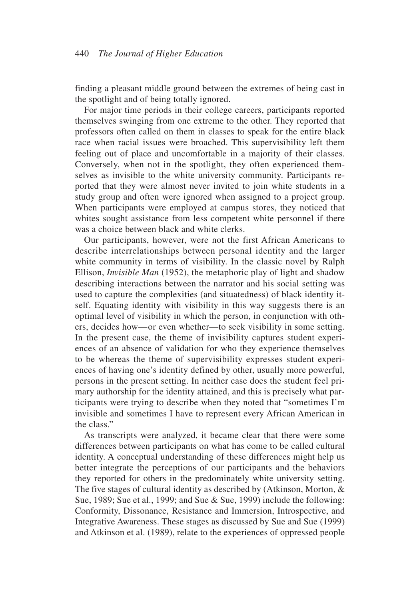finding a pleasant middle ground between the extremes of being cast in the spotlight and of being totally ignored.

For major time periods in their college careers, participants reported themselves swinging from one extreme to the other. They reported that professors often called on them in classes to speak for the entire black race when racial issues were broached. This supervisibility left them feeling out of place and uncomfortable in a majority of their classes. Conversely, when not in the spotlight, they often experienced themselves as invisible to the white university community. Participants reported that they were almost never invited to join white students in a study group and often were ignored when assigned to a project group. When participants were employed at campus stores, they noticed that whites sought assistance from less competent white personnel if there was a choice between black and white clerks.

Our participants, however, were not the first African Americans to describe interrelationships between personal identity and the larger white community in terms of visibility. In the classic novel by Ralph Ellison, *Invisible Man* (1952), the metaphoric play of light and shadow describing interactions between the narrator and his social setting was used to capture the complexities (and situatedness) of black identity itself. Equating identity with visibility in this way suggests there is an optimal level of visibility in which the person, in conjunction with others, decides how—or even whether—to seek visibility in some setting. In the present case, the theme of invisibility captures student experiences of an absence of validation for who they experience themselves to be whereas the theme of supervisibility expresses student experiences of having one's identity defined by other, usually more powerful, persons in the present setting. In neither case does the student feel primary authorship for the identity attained, and this is precisely what participants were trying to describe when they noted that "sometimes I'm invisible and sometimes I have to represent every African American in the class."

As transcripts were analyzed, it became clear that there were some differences between participants on what has come to be called cultural identity. A conceptual understanding of these differences might help us better integrate the perceptions of our participants and the behaviors they reported for others in the predominately white university setting. The five stages of cultural identity as described by (Atkinson, Morton, & Sue, 1989; Sue et al., 1999; and Sue & Sue, 1999) include the following: Conformity, Dissonance, Resistance and Immersion, Introspective, and Integrative Awareness. These stages as discussed by Sue and Sue (1999) and Atkinson et al. (1989), relate to the experiences of oppressed people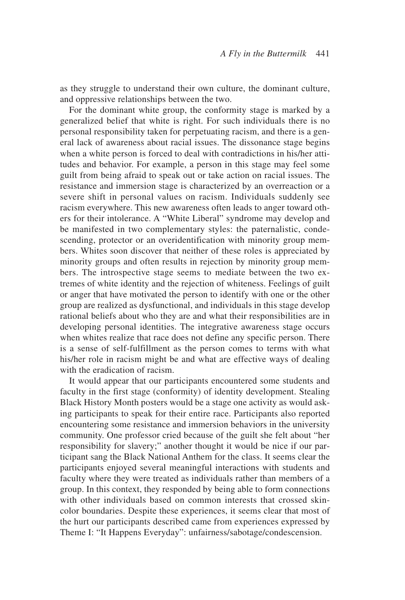as they struggle to understand their own culture, the dominant culture, and oppressive relationships between the two.

For the dominant white group, the conformity stage is marked by a generalized belief that white is right. For such individuals there is no personal responsibility taken for perpetuating racism, and there is a general lack of awareness about racial issues. The dissonance stage begins when a white person is forced to deal with contradictions in his/her attitudes and behavior. For example, a person in this stage may feel some guilt from being afraid to speak out or take action on racial issues. The resistance and immersion stage is characterized by an overreaction or a severe shift in personal values on racism. Individuals suddenly see racism everywhere. This new awareness often leads to anger toward others for their intolerance. A "White Liberal" syndrome may develop and be manifested in two complementary styles: the paternalistic, condescending, protector or an overidentification with minority group members. Whites soon discover that neither of these roles is appreciated by minority groups and often results in rejection by minority group members. The introspective stage seems to mediate between the two extremes of white identity and the rejection of whiteness. Feelings of guilt or anger that have motivated the person to identify with one or the other group are realized as dysfunctional, and individuals in this stage develop rational beliefs about who they are and what their responsibilities are in developing personal identities. The integrative awareness stage occurs when whites realize that race does not define any specific person. There is a sense of self-fulfillment as the person comes to terms with what his/her role in racism might be and what are effective ways of dealing with the eradication of racism.

It would appear that our participants encountered some students and faculty in the first stage (conformity) of identity development. Stealing Black History Month posters would be a stage one activity as would asking participants to speak for their entire race. Participants also reported encountering some resistance and immersion behaviors in the university community. One professor cried because of the guilt she felt about "her responsibility for slavery;" another thought it would be nice if our participant sang the Black National Anthem for the class. It seems clear the participants enjoyed several meaningful interactions with students and faculty where they were treated as individuals rather than members of a group. In this context, they responded by being able to form connections with other individuals based on common interests that crossed skincolor boundaries. Despite these experiences, it seems clear that most of the hurt our participants described came from experiences expressed by Theme I: "It Happens Everyday": unfairness/sabotage/condescension.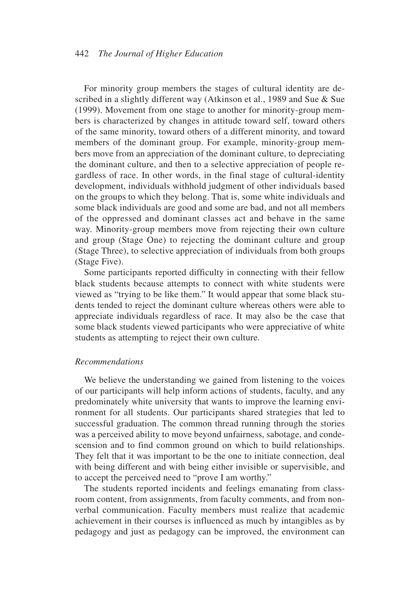For minority group members the stages of cultural identity are described in a slightly different way (Atkinson et al., 1989 and Sue & Sue (1999). Movement from one stage to another for minority-group members is characterized by changes in attitude toward self, toward others of the same minority, toward others of a different minority, and toward members of the dominant group. For example, minority-group members move from an appreciation of the dominant culture, to depreciating the dominant culture, and then to a selective appreciation of people regardless of race. In other words, in the final stage of cultural-identity development, individuals withhold judgment of other individuals based on the groups to which they belong. That is, some white individuals and some black individuals are good and some are bad, and not all members of the oppressed and dominant classes act and behave in the same way. Minority-group members move from rejecting their own culture and group (Stage One) to rejecting the dominant culture and group (Stage Three), to selective appreciation of individuals from both groups (Stage Five).

Some participants reported difficulty in connecting with their fellow black students because attempts to connect with white students were viewed as "trying to be like them." It would appear that some black students tended to reject the dominant culture whereas others were able to appreciate individuals regardless of race. It may also be the case that some black students viewed participants who were appreciative of white students as attempting to reject their own culture.

### *Recommendations*

We believe the understanding we gained from listening to the voices of our participants will help inform actions of students, faculty, and any predominately white university that wants to improve the learning environment for all students. Our participants shared strategies that led to successful graduation. The common thread running through the stories was a perceived ability to move beyond unfairness, sabotage, and condescension and to find common ground on which to build relationships. They felt that it was important to be the one to initiate connection, deal with being different and with being either invisible or supervisible, and to accept the perceived need to "prove I am worthy."

The students reported incidents and feelings emanating from classroom content, from assignments, from faculty comments, and from nonverbal communication. Faculty members must realize that academic achievement in their courses is influenced as much by intangibles as by pedagogy and just as pedagogy can be improved, the environment can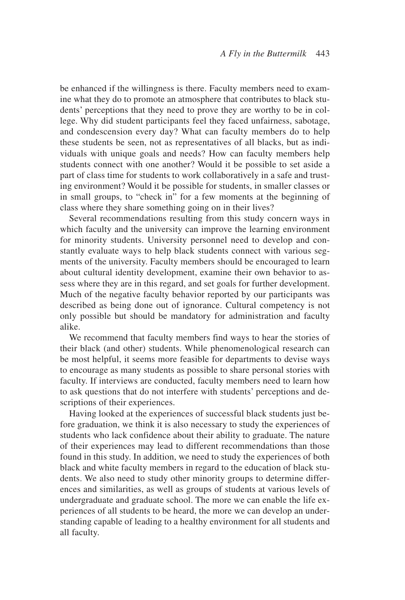be enhanced if the willingness is there. Faculty members need to examine what they do to promote an atmosphere that contributes to black students' perceptions that they need to prove they are worthy to be in college. Why did student participants feel they faced unfairness, sabotage, and condescension every day? What can faculty members do to help these students be seen, not as representatives of all blacks, but as individuals with unique goals and needs? How can faculty members help students connect with one another? Would it be possible to set aside a part of class time for students to work collaboratively in a safe and trusting environment? Would it be possible for students, in smaller classes or in small groups, to "check in" for a few moments at the beginning of class where they share something going on in their lives?

Several recommendations resulting from this study concern ways in which faculty and the university can improve the learning environment for minority students. University personnel need to develop and constantly evaluate ways to help black students connect with various segments of the university. Faculty members should be encouraged to learn about cultural identity development, examine their own behavior to assess where they are in this regard, and set goals for further development. Much of the negative faculty behavior reported by our participants was described as being done out of ignorance. Cultural competency is not only possible but should be mandatory for administration and faculty alike.

We recommend that faculty members find ways to hear the stories of their black (and other) students. While phenomenological research can be most helpful, it seems more feasible for departments to devise ways to encourage as many students as possible to share personal stories with faculty. If interviews are conducted, faculty members need to learn how to ask questions that do not interfere with students' perceptions and descriptions of their experiences.

Having looked at the experiences of successful black students just before graduation, we think it is also necessary to study the experiences of students who lack confidence about their ability to graduate. The nature of their experiences may lead to different recommendations than those found in this study. In addition, we need to study the experiences of both black and white faculty members in regard to the education of black students. We also need to study other minority groups to determine differences and similarities, as well as groups of students at various levels of undergraduate and graduate school. The more we can enable the life experiences of all students to be heard, the more we can develop an understanding capable of leading to a healthy environment for all students and all faculty.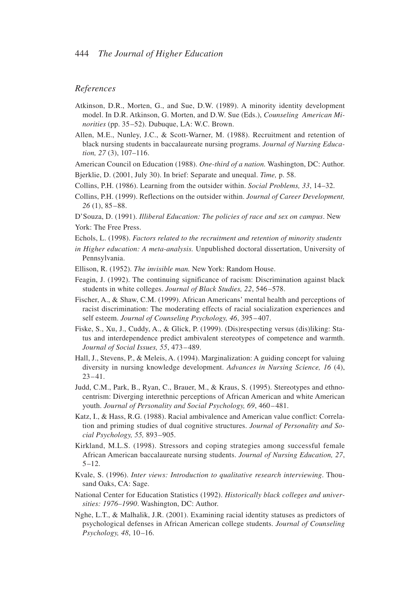### *References*

- Atkinson, D.R., Morten, G., and Sue, D.W. (1989). A minority identity development model. In D.R. Atkinson, G. Morten, and D.W. Sue (Eds.), *Counseling American Minorities* (pp. 35–52). Dubuque, LA: W.C. Brown.
- Allen, M.E., Nunley, J.C., & Scott-Warner, M. (1988). Recruitment and retention of black nursing students in baccalaureate nursing programs. *Journal of Nursing Education, 27* (3), 107–116.
- American Council on Education (1988). *One-third of a nation.* Washington, DC: Author.
- Bjerklie, D. (2001, July 30). In brief: Separate and unequal. *Time,* p. 58.
- Collins, P.H. (1986). Learning from the outsider within. *Social Problems, 33*, 14–32.
- Collins, P.H. (1999). Reflections on the outsider within. *Journal of Career Development, 26* (1), 85–88.
- D'Souza, D. (1991). *Illiberal Education: The policies of race and sex on campus*. New York: The Free Press.
- Echols, L. (1998). *Factors related to the recruitment and retention of minority students*
- *in Higher education: A meta-analysis.* Unpublished doctoral dissertation, University of Pennsylvania.
- Ellison, R. (1952). *The invisible man.* New York: Random House.
- Feagin, J. (1992). The continuing significance of racism: Discrimination against black students in white colleges. *Journal of Black Studies, 22*, 546–578.
- Fischer, A., & Shaw, C.M. (1999). African Americans' mental health and perceptions of racist discrimination: The moderating effects of racial socialization experiences and self esteem. *Journal of Counseling Psychology, 46*, 395–407.
- Fiske, S., Xu, J., Cuddy, A., & Glick, P. (1999). (Dis)respecting versus (dis)liking: Status and interdependence predict ambivalent stereotypes of competence and warmth. *Journal of Social Issues, 55*, 473–489.
- Hall, J., Stevens, P., & Meleis, A. (1994). Marginalization: A guiding concept for valuing diversity in nursing knowledge development. *Advances in Nursing Science, 16* (4),  $23 - 41.$
- Judd, C.M., Park, B., Ryan, C., Brauer, M., & Kraus, S. (1995). Stereotypes and ethnocentrism: Diverging interethnic perceptions of African American and white American youth. *Journal of Personality and Social Psychology, 69*, 460–481.
- Katz, I., & Hass, R.G. (1988). Racial ambivalence and American value conflict: Correlation and priming studies of dual cognitive structures. *Journal of Personality and Social Psychology, 55,* 893–905.
- Kirkland, M.L.S. (1998). Stressors and coping strategies among successful female African American baccalaureate nursing students. *Journal of Nursing Education, 27*, 5–12.
- Kvale, S. (1996). *Inter views: Introduction to qualitative research interviewing*. Thousand Oaks, CA: Sage.
- National Center for Education Statistics (1992). *Historically black colleges and universities: 1976–1990*. Washington, DC: Author.
- Nghe, L.T., & Malhalik, J.R. (2001). Examining racial identity statuses as predictors of psychological defenses in African American college students. *Journal of Counseling Psychology, 48*, 10–16.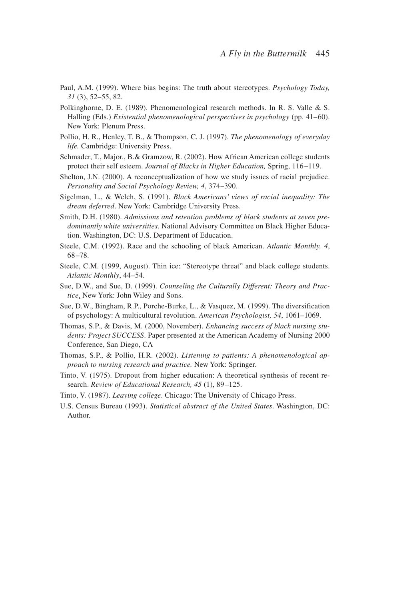- Paul, A.M. (1999). Where bias begins: The truth about stereotypes. *Psychology Today, 31* (3), 52–55, 82.
- Polkinghorne, D. E. (1989). Phenomenological research methods. In R. S. Valle & S. Halling (Eds.) *Existential phenomenological perspectives in psychology* (pp. 41–60). New York: Plenum Press.
- Pollio, H. R., Henley, T. B., & Thompson, C. J. (1997). *The phenomenology of everyday life.* Cambridge: University Press.
- Schmader, T., Major., B.& Gramzow, R. (2002). How African American college students protect their self esteem. *Journal of Blacks in Higher Education,* Spring, 116–119.
- Shelton, J.N. (2000). A reconceptualization of how we study issues of racial prejudice. *Personality and Social Psychology Review, 4*, 374–390.
- Sigelman, L., & Welch, S. (1991). *Black Americans' views of racial inequality: The dream deferred*. New York: Cambridge University Press.
- Smith, D.H. (1980). *Admissions and retention problems of black students at seven predominantly white universities*. National Advisory Committee on Black Higher Education. Washington, DC: U.S. Department of Education.
- Steele, C.M. (1992). Race and the schooling of black American. *Atlantic Monthly, 4*, 68–78.
- Steele, C.M. (1999, August). Thin ice: "Stereotype threat" and black college students. *Atlantic Monthly*, 44–54.
- Sue, D.W., and Sue, D. (1999). *Counseling the Culturally Different: Theory and Practice*. New York: John Wiley and Sons.
- Sue, D.W., Bingham, R.P., Porche-Burke, L., & Vasquez, M. (1999). The diversification of psychology: A multicultural revolution. *American Psychologist, 54*, 1061–1069.
- Thomas, S.P., & Davis, M. (2000, November). *Enhancing success of black nursing students: Project SUCCESS*. Paper presented at the American Academy of Nursing 2000 Conference, San Diego, CA
- Thomas, S.P., & Pollio, H.R. (2002). *Listening to patients: A phenomenological approach to nursing research and practice.* New York: Springer*.*
- Tinto, V. (1975). Dropout from higher education: A theoretical synthesis of recent research. *Review of Educational Research, 45* (1), 89–125.
- Tinto, V. (1987). *Leaving college*. Chicago: The University of Chicago Press.
- U.S. Census Bureau (1993). *Statistical abstract of the United States*. Washington, DC: Author.